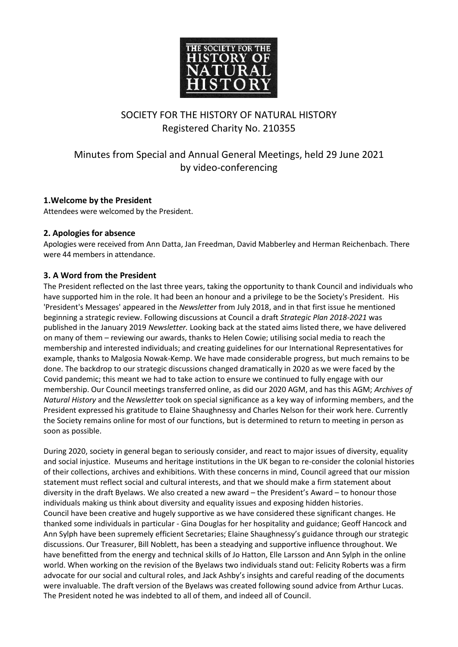

# SOCIETY FOR THE HISTORY OF NATURAL HISTORY Registered Charity No. 210355

# Minutes from Special and Annual General Meetings, held 29 June 2021 by video-conferencing

## **1.Welcome by the President**

Attendees were welcomed by the President.

## **2. Apologies for absence**

Apologies were received from Ann Datta, Jan Freedman, David Mabberley and Herman Reichenbach. There were 44 members in attendance.

## **3. A Word from the President**

The President reflected on the last three years, taking the opportunity to thank Council and individuals who have supported him in the role. It had been an honour and a privilege to be the Society's President. His 'President's Messages' appeared in the *Newsletter* from July 2018, and in that first issue he mentioned beginning a strategic review. Following discussions at Council a draft *Strategic Plan 2018-2021* was published in the January 2019 *Newsletter.* Looking back at the stated aims listed there, we have delivered on many of them – reviewing our awards, thanks to Helen Cowie; utilising social media to reach the membership and interested individuals; and creating guidelines for our International Representatives for example, thanks to Malgosia Nowak-Kemp. We have made considerable progress, but much remains to be done. The backdrop to our strategic discussions changed dramatically in 2020 as we were faced by the Covid pandemic; this meant we had to take action to ensure we continued to fully engage with our membership. Our Council meetings transferred online, as did our 2020 AGM, and has this AGM; *Archives of Natural History* and the *Newsletter* took on special significance as a key way of informing members, and the President expressed his gratitude to Elaine Shaughnessy and Charles Nelson for their work here. Currently the Society remains online for most of our functions, but is determined to return to meeting in person as soon as possible.

During 2020, society in general began to seriously consider, and react to major issues of diversity, equality and social injustice. Museums and heritage institutions in the UK began to re-consider the colonial histories of their collections, archives and exhibitions. With these concerns in mind, Council agreed that our mission statement must reflect social and cultural interests, and that we should make a firm statement about diversity in the draft Byelaws. We also created a new award – the President's Award – to honour those individuals making us think about diversity and equality issues and exposing hidden histories. Council have been creative and hugely supportive as we have considered these significant changes. He thanked some individuals in particular - Gina Douglas for her hospitality and guidance; Geoff Hancock and Ann Sylph have been supremely efficient Secretaries; Elaine Shaughnessy's guidance through our strategic discussions. Our Treasurer, Bill Noblett, has been a steadying and supportive influence throughout. We have benefitted from the energy and technical skills of Jo Hatton, Elle Larsson and Ann Sylph in the online world. When working on the revision of the Byelaws two individuals stand out: Felicity Roberts was a firm advocate for our social and cultural roles, and Jack Ashby's insights and careful reading of the documents were invaluable. The draft version of the Byelaws was created following sound advice from Arthur Lucas. The President noted he was indebted to all of them, and indeed all of Council.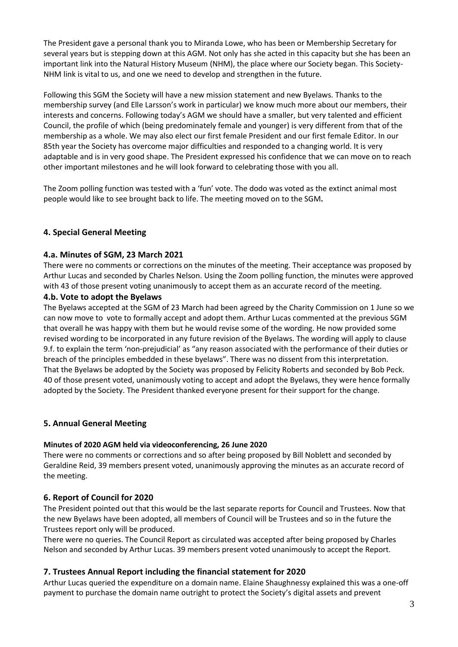The President gave a personal thank you to Miranda Lowe, who has been or Membership Secretary for several years but is stepping down at this AGM. Not only has she acted in this capacity but she has been an important link into the Natural History Museum (NHM), the place where our Society began. This Society-NHM link is vital to us, and one we need to develop and strengthen in the future.

Following this SGM the Society will have a new mission statement and new Byelaws. Thanks to the membership survey (and Elle Larsson's work in particular) we know much more about our members, their interests and concerns. Following today's AGM we should have a smaller, but very talented and efficient Council, the profile of which (being predominately female and younger) is very different from that of the membership as a whole. We may also elect our first female President and our first female Editor. In our 85th year the Society has overcome major difficulties and responded to a changing world. It is very adaptable and is in very good shape. The President expressed his confidence that we can move on to reach other important milestones and he will look forward to celebrating those with you all.

The Zoom polling function was tested with a 'fun' vote. The dodo was voted as the extinct animal most people would like to see brought back to life. The meeting moved on to the SGM**.**

## **4. Special General Meeting**

### **4.a. Minutes of SGM, 23 March 2021**

There were no comments or corrections on the minutes of the meeting. Their acceptance was proposed by Arthur Lucas and seconded by Charles Nelson. Using the Zoom polling function, the minutes were approved with 43 of those present voting unanimously to accept them as an accurate record of the meeting.

#### **4.b. Vote to adopt the Byelaws**

The Byelaws accepted at the SGM of 23 March had been agreed by the Charity Commission on 1 June so we can now move to vote to formally accept and adopt them. Arthur Lucas commented at the previous SGM that overall he was happy with them but he would revise some of the wording. He now provided some revised wording to be incorporated in any future revision of the Byelaws. The wording will apply to clause 9.f. to explain the term 'non-prejudicial' as "any reason associated with the performance of their duties or breach of the principles embedded in these byelaws". There was no dissent from this interpretation. That the Byelaws be adopted by the Society was proposed by Felicity Roberts and seconded by Bob Peck. 40 of those present voted, unanimously voting to accept and adopt the Byelaws, they were hence formally adopted by the Society. The President thanked everyone present for their support for the change.

### **5. Annual General Meeting**

#### **Minutes of 2020 AGM held via videoconferencing, 26 June 2020**

There were no comments or corrections and so after being proposed by Bill Noblett and seconded by Geraldine Reid, 39 members present voted, unanimously approving the minutes as an accurate record of the meeting.

### **6. Report of Council for 2020**

The President pointed out that this would be the last separate reports for Council and Trustees. Now that the new Byelaws have been adopted, all members of Council will be Trustees and so in the future the Trustees report only will be produced.

There were no queries. The Council Report as circulated was accepted after being proposed by Charles Nelson and seconded by Arthur Lucas. 39 members present voted unanimously to accept the Report.

### **7. Trustees Annual Report including the financial statement for 2020**

Arthur Lucas queried the expenditure on a domain name. Elaine Shaughnessy explained this was a one-off payment to purchase the domain name outright to protect the Society's digital assets and prevent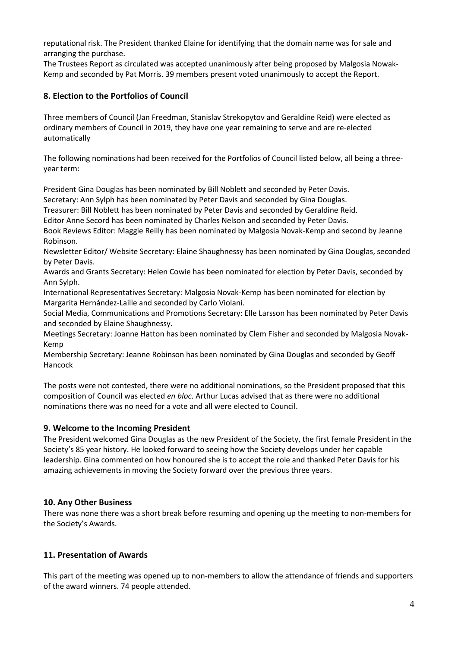reputational risk. The President thanked Elaine for identifying that the domain name was for sale and arranging the purchase.

The Trustees Report as circulated was accepted unanimously after being proposed by Malgosia Nowak-Kemp and seconded by Pat Morris. 39 members present voted unanimously to accept the Report.

## **8. Election to the Portfolios of Council**

Three members of Council (Jan Freedman, Stanislav Strekopytov and Geraldine Reid) were elected as ordinary members of Council in 2019, they have one year remaining to serve and are re-elected automatically

The following nominations had been received for the Portfolios of Council listed below, all being a threeyear term:

President Gina Douglas has been nominated by Bill Noblett and seconded by Peter Davis.

Secretary: Ann Sylph has been nominated by Peter Davis and seconded by Gina Douglas.

Treasurer: Bill Noblett has been nominated by Peter Davis and seconded by Geraldine Reid.

Editor Anne Secord has been nominated by Charles Nelson and seconded by Peter Davis.

Book Reviews Editor: Maggie Reilly has been nominated by Malgosia Novak-Kemp and second by Jeanne Robinson.

Newsletter Editor/ Website Secretary: Elaine Shaughnessy has been nominated by Gina Douglas, seconded by Peter Davis.

Awards and Grants Secretary: Helen Cowie has been nominated for election by Peter Davis, seconded by Ann Sylph.

International Representatives Secretary: Malgosia Novak-Kemp has been nominated for election by Margarita Hernández-Laille and seconded by Carlo Violani.

Social Media, Communications and Promotions Secretary: Elle Larsson has been nominated by Peter Davis and seconded by Elaine Shaughnessy.

Meetings Secretary: Joanne Hatton has been nominated by Clem Fisher and seconded by Malgosia Novak-Kemp

Membership Secretary: Jeanne Robinson has been nominated by Gina Douglas and seconded by Geoff Hancock

The posts were not contested, there were no additional nominations, so the President proposed that this composition of Council was elected *en bloc*. Arthur Lucas advised that as there were no additional nominations there was no need for a vote and all were elected to Council.

## **9. Welcome to the Incoming President**

The President welcomed Gina Douglas as the new President of the Society, the first female President in the Society's 85 year history. He looked forward to seeing how the Society develops under her capable leadership. Gina commented on how honoured she is to accept the role and thanked Peter Davis for his amazing achievements in moving the Society forward over the previous three years.

## **10. Any Other Business**

There was none there was a short break before resuming and opening up the meeting to non-members for the Society's Awards.

## **11. Presentation of Awards**

This part of the meeting was opened up to non-members to allow the attendance of friends and supporters of the award winners. 74 people attended.